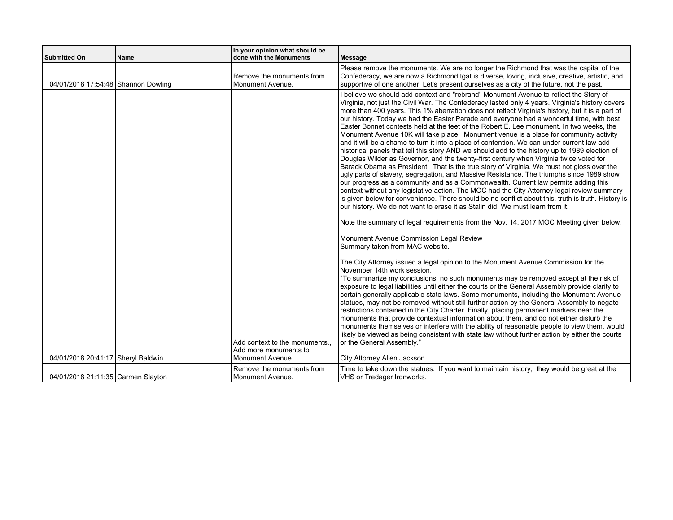| <b>Submitted On</b>                 | Name | In your opinion what should be<br>done with the Monuments                 | Message                                                                                                                                                                                                                                                                                                                                                                                                                                                                                                                                                                                                                                                                                                                                                                                                                                                                                                                                                                                                                                                                                                                                                                                                                                                                                                                                                                                                                                                                                                                                |
|-------------------------------------|------|---------------------------------------------------------------------------|----------------------------------------------------------------------------------------------------------------------------------------------------------------------------------------------------------------------------------------------------------------------------------------------------------------------------------------------------------------------------------------------------------------------------------------------------------------------------------------------------------------------------------------------------------------------------------------------------------------------------------------------------------------------------------------------------------------------------------------------------------------------------------------------------------------------------------------------------------------------------------------------------------------------------------------------------------------------------------------------------------------------------------------------------------------------------------------------------------------------------------------------------------------------------------------------------------------------------------------------------------------------------------------------------------------------------------------------------------------------------------------------------------------------------------------------------------------------------------------------------------------------------------------|
| 04/01/2018 17:54:48 Shannon Dowling |      | Remove the monuments from<br>Monument Avenue.                             | Please remove the monuments. We are no longer the Richmond that was the capital of the<br>Confederacy, we are now a Richmond tgat is diverse, loving, inclusive, creative, artistic, and<br>supportive of one another. Let's present ourselves as a city of the future, not the past.                                                                                                                                                                                                                                                                                                                                                                                                                                                                                                                                                                                                                                                                                                                                                                                                                                                                                                                                                                                                                                                                                                                                                                                                                                                  |
|                                     |      |                                                                           | I believe we should add context and "rebrand" Monument Avenue to reflect the Story of<br>Virginia, not just the Civil War. The Confederacy lasted only 4 years. Virginia's history covers<br>more than 400 years. This 1% aberration does not reflect Virginia's history, but it is a part of<br>our history. Today we had the Easter Parade and everyone had a wonderful time, with best<br>Easter Bonnet contests held at the feet of the Robert E. Lee monument. In two weeks, the<br>Monument Avenue 10K will take place. Monument venue is a place for community activity<br>and it will be a shame to turn it into a place of contention. We can under current law add<br>historical panels that tell this story AND we should add to the history up to 1989 election of<br>Douglas Wilder as Governor, and the twenty-first century when Virginia twice voted for<br>Barack Obama as President. That is the true story of Virginia. We must not gloss over the<br>ugly parts of slavery, segregation, and Massive Resistance. The triumphs since 1989 show<br>our progress as a community and as a Commonwealth. Current law permits adding this<br>context without any legislative action. The MOC had the City Attorney legal review summary<br>is given below for convenience. There should be no conflict about this. truth is truth. History is<br>our history. We do not want to erase it as Stalin did. We must learn from it.<br>Note the summary of legal requirements from the Nov. 14, 2017 MOC Meeting given below. |
|                                     |      |                                                                           | Monument Avenue Commission Legal Review<br>Summary taken from MAC website.                                                                                                                                                                                                                                                                                                                                                                                                                                                                                                                                                                                                                                                                                                                                                                                                                                                                                                                                                                                                                                                                                                                                                                                                                                                                                                                                                                                                                                                             |
| 04/01/2018 20:41:17 Sheryl Baldwin  |      | Add context to the monuments<br>Add more monuments to<br>Monument Avenue. | The City Attorney issued a legal opinion to the Monument Avenue Commission for the<br>November 14th work session.<br>"To summarize my conclusions, no such monuments may be removed except at the risk of<br>exposure to legal liabilities until either the courts or the General Assembly provide clarity to<br>certain generally applicable state laws. Some monuments, including the Monument Avenue<br>statues, may not be removed without still further action by the General Assembly to negate<br>restrictions contained in the City Charter. Finally, placing permanent markers near the<br>monuments that provide contextual information about them, and do not either disturb the<br>monuments themselves or interfere with the ability of reasonable people to view them, would<br>likely be viewed as being consistent with state law without further action by either the courts<br>or the General Assembly."<br>City Attorney Allen Jackson                                                                                                                                                                                                                                                                                                                                                                                                                                                                                                                                                                              |
| 04/01/2018 21:11:35 Carmen Slayton  |      | Remove the monuments from<br>Monument Avenue.                             | Time to take down the statues. If you want to maintain history, they would be great at the<br>VHS or Tredager Ironworks.                                                                                                                                                                                                                                                                                                                                                                                                                                                                                                                                                                                                                                                                                                                                                                                                                                                                                                                                                                                                                                                                                                                                                                                                                                                                                                                                                                                                               |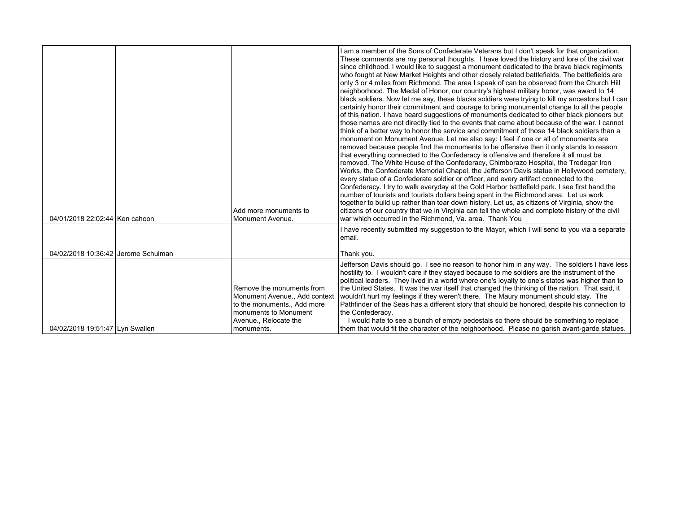| 04/01/2018 22:02:44 Ken cahoon      | Add more monuments to<br>Monument Avenue.                                                                                                               | I am a member of the Sons of Confederate Veterans but I don't speak for that organization.<br>These comments are my personal thoughts. I have loved the history and lore of the civil war<br>since childhood. I would like to suggest a monument dedicated to the brave black regiments<br>who fought at New Market Heights and other closely related battlefields. The battlefields are<br>only 3 or 4 miles from Richmond. The area I speak of can be observed from the Church Hill<br>neighborhood. The Medal of Honor, our country's highest military honor, was award to 14<br>black soldiers. Now let me say, these blacks soldiers were trying to kill my ancestors but I can<br>certainly honor their commitment and courage to bring monumental change to all the people<br>of this nation. I have heard suggestions of monuments dedicated to other black pioneers but<br>those names are not directly tied to the events that came about because of the war. I cannot<br>think of a better way to honor the service and commitment of those 14 black soldiers than a<br>monument on Monument Avenue. Let me also say: I feel if one or all of monuments are<br>removed because people find the monuments to be offensive then it only stands to reason<br>that everything connected to the Confederacy is offensive and therefore it all must be<br>removed. The White House of the Confederacy, Chimborazo Hospital, the Tredegar Iron<br>Works, the Confederate Memorial Chapel, the Jefferson Davis statue in Hollywood cemetery,<br>every statue of a Confederate soldier or officer, and every artifact connected to the<br>Confederacy. I try to walk everyday at the Cold Harbor battlefield park. I see first hand, the<br>number of tourists and tourists dollars being spent in the Richmond area. Let us work<br>together to build up rather than tear down history. Let us, as citizens of Virginia, show the<br>citizens of our country that we in Virginia can tell the whole and complete history of the civil<br>war which occurred in the Richmond. Va. area. Thank You |
|-------------------------------------|---------------------------------------------------------------------------------------------------------------------------------------------------------|-----------------------------------------------------------------------------------------------------------------------------------------------------------------------------------------------------------------------------------------------------------------------------------------------------------------------------------------------------------------------------------------------------------------------------------------------------------------------------------------------------------------------------------------------------------------------------------------------------------------------------------------------------------------------------------------------------------------------------------------------------------------------------------------------------------------------------------------------------------------------------------------------------------------------------------------------------------------------------------------------------------------------------------------------------------------------------------------------------------------------------------------------------------------------------------------------------------------------------------------------------------------------------------------------------------------------------------------------------------------------------------------------------------------------------------------------------------------------------------------------------------------------------------------------------------------------------------------------------------------------------------------------------------------------------------------------------------------------------------------------------------------------------------------------------------------------------------------------------------------------------------------------------------------------------------------------------------------------------------------------------------------------------------------------------------------------------------------------------|
|                                     |                                                                                                                                                         | I have recently submitted my suggestion to the Mayor, which I will send to you via a separate<br>email.                                                                                                                                                                                                                                                                                                                                                                                                                                                                                                                                                                                                                                                                                                                                                                                                                                                                                                                                                                                                                                                                                                                                                                                                                                                                                                                                                                                                                                                                                                                                                                                                                                                                                                                                                                                                                                                                                                                                                                                             |
| 04/02/2018 10:36:42 Jerome Schulman |                                                                                                                                                         | Thank you.                                                                                                                                                                                                                                                                                                                                                                                                                                                                                                                                                                                                                                                                                                                                                                                                                                                                                                                                                                                                                                                                                                                                                                                                                                                                                                                                                                                                                                                                                                                                                                                                                                                                                                                                                                                                                                                                                                                                                                                                                                                                                          |
| 04/02/2018 19:51:47 Lyn Swallen     | Remove the monuments from<br>Monument Avenue., Add context<br>to the monuments Add more<br>monuments to Monument<br>Avenue., Relocate the<br>monuments. | Jefferson Davis should go. I see no reason to honor him in any way. The soldiers I have less<br>hostility to. I wouldn't care if they stayed because to me soldiers are the instrument of the<br>political leaders. They lived in a world where one's loyalty to one's states was higher than to<br>the United States. It was the war itself that changed the thinking of the nation. That said, it<br>wouldn't hurt my feelings if they weren't there. The Maury monument should stay. The<br>Pathfinder of the Seas has a different story that should be honored, despite his connection to<br>the Confederacy.<br>I would hate to see a bunch of empty pedestals so there should be something to replace<br>them that would fit the character of the neighborhood. Please no garish avant-garde statues.                                                                                                                                                                                                                                                                                                                                                                                                                                                                                                                                                                                                                                                                                                                                                                                                                                                                                                                                                                                                                                                                                                                                                                                                                                                                                         |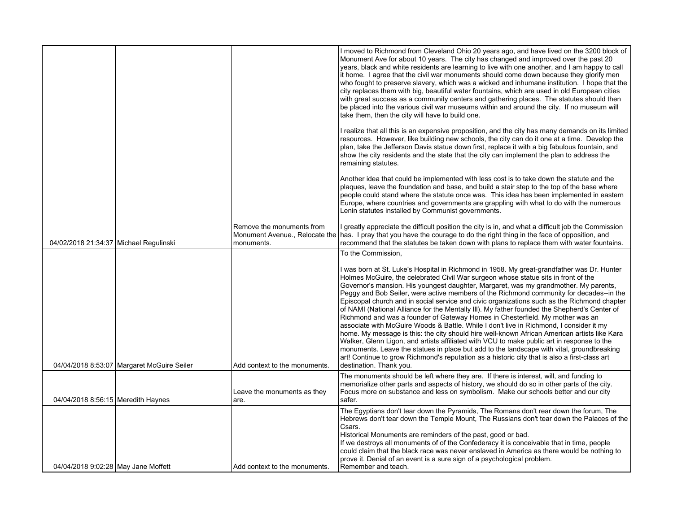|                                        |                                              |                                         | I moved to Richmond from Cleveland Ohio 20 years ago, and have lived on the 3200 block of<br>Monument Ave for about 10 years. The city has changed and improved over the past 20<br>years, black and white residents are learning to live with one another, and I am happy to call<br>it home. I agree that the civil war monuments should come down because they glorify men<br>who fought to preserve slavery, which was a wicked and inhumane institution. I hope that the<br>city replaces them with big, beautiful water fountains, which are used in old European cities<br>with great success as a community centers and gathering places. The statutes should then<br>be placed into the various civil war museums within and around the city. If no museum will<br>take them, then the city will have to build one.                                                                                                                                                                                                                                                                                                                                          |
|----------------------------------------|----------------------------------------------|-----------------------------------------|-----------------------------------------------------------------------------------------------------------------------------------------------------------------------------------------------------------------------------------------------------------------------------------------------------------------------------------------------------------------------------------------------------------------------------------------------------------------------------------------------------------------------------------------------------------------------------------------------------------------------------------------------------------------------------------------------------------------------------------------------------------------------------------------------------------------------------------------------------------------------------------------------------------------------------------------------------------------------------------------------------------------------------------------------------------------------------------------------------------------------------------------------------------------------|
|                                        |                                              |                                         | I realize that all this is an expensive proposition, and the city has many demands on its limited<br>resources. However, like building new schools, the city can do it one at a time. Develop the<br>plan, take the Jefferson Davis statue down first, replace it with a big fabulous fountain, and<br>show the city residents and the state that the city can implement the plan to address the<br>remaining statutes.                                                                                                                                                                                                                                                                                                                                                                                                                                                                                                                                                                                                                                                                                                                                               |
|                                        |                                              |                                         | Another idea that could be implemented with less cost is to take down the statute and the<br>plaques, leave the foundation and base, and build a stair step to the top of the base where<br>people could stand where the statute once was. This idea has been implemented in eastern<br>Europe, where countries and governments are grappling with what to do with the numerous<br>Lenin statutes installed by Communist governments.                                                                                                                                                                                                                                                                                                                                                                                                                                                                                                                                                                                                                                                                                                                                 |
| 04/02/2018 21:34:37 Michael Regulinski |                                              | Remove the monuments from<br>monuments. | I greatly appreciate the difficult position the city is in, and what a difficult job the Commission<br>Monument Avenue., Relocate the has. I pray that you have the courage to do the right thing in the face of opposition, and<br>recommend that the statutes be taken down with plans to replace them with water fountains.                                                                                                                                                                                                                                                                                                                                                                                                                                                                                                                                                                                                                                                                                                                                                                                                                                        |
|                                        |                                              |                                         | To the Commission,                                                                                                                                                                                                                                                                                                                                                                                                                                                                                                                                                                                                                                                                                                                                                                                                                                                                                                                                                                                                                                                                                                                                                    |
|                                        | 04/04/2018 8:53:07   Margaret McGuire Seiler | Add context to the monuments.           | I was born at St. Luke's Hospital in Richmond in 1958. My great-grandfather was Dr. Hunter<br>Holmes McGuire, the celebrated Civil War surgeon whose statue sits in front of the<br>Governor's mansion. His youngest daughter, Margaret, was my grandmother. My parents,<br>Peggy and Bob Seiler, were active members of the Richmond community for decades--in the<br>Episcopal church and in social service and civic organizations such as the Richmond chapter<br>of NAMI (National Alliance for the Mentally III). My father founded the Shepherd's Center of<br>Richmond and was a founder of Gateway Homes in Chesterfield. My mother was an<br>associate with McGuire Woods & Battle. While I don't live in Richmond, I consider it my<br>home. My message is this: the city should hire well-known African American artists like Kara<br>Walker, Glenn Ligon, and artists affiliated with VCU to make public art in response to the<br>monuments. Leave the statues in place but add to the landscape with vital, groundbreaking<br>art! Continue to grow Richmond's reputation as a historic city that is also a first-class art<br>destination. Thank you. |
| 04/04/2018 8:56:15 Meredith Haynes     |                                              | Leave the monuments as they<br>are.     | The monuments should be left where they are. If there is interest, will, and funding to<br>memorialize other parts and aspects of history, we should do so in other parts of the city.<br>Focus more on substance and less on symbolism. Make our schools better and our city<br>safer.                                                                                                                                                                                                                                                                                                                                                                                                                                                                                                                                                                                                                                                                                                                                                                                                                                                                               |
| 04/04/2018 9:02:28   May Jane Moffett  |                                              | Add context to the monuments.           | The Egyptians don't tear down the Pyramids, The Romans don't rear down the forum, The<br>Hebrews don't tear down the Temple Mount. The Russians don't tear down the Palaces of the<br>Csars.<br>Historical Monuments are reminders of the past, good or bad.<br>If we destroys all monuments of of the Confederacy it is conceivable that in time, people<br>could claim that the black race was never enslaved in America as there would be nothing to<br>prove it. Denial of an event is a sure sign of a psychological problem.<br>Remember and teach.                                                                                                                                                                                                                                                                                                                                                                                                                                                                                                                                                                                                             |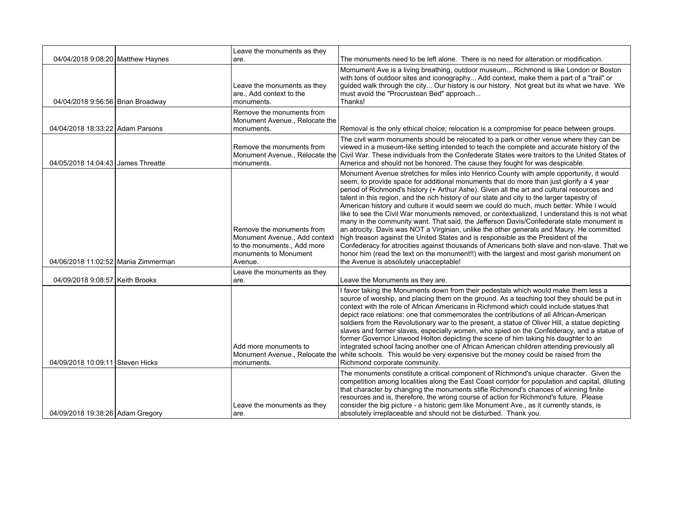|                                      | Leave the monuments as they                                                                                                   |                                                                                                                                                                                                                                                                                                                                                                                                                                                                                                                                                                                                                                                                                                                                                                                                                                                                                                                                                                                                                                                                                                 |
|--------------------------------------|-------------------------------------------------------------------------------------------------------------------------------|-------------------------------------------------------------------------------------------------------------------------------------------------------------------------------------------------------------------------------------------------------------------------------------------------------------------------------------------------------------------------------------------------------------------------------------------------------------------------------------------------------------------------------------------------------------------------------------------------------------------------------------------------------------------------------------------------------------------------------------------------------------------------------------------------------------------------------------------------------------------------------------------------------------------------------------------------------------------------------------------------------------------------------------------------------------------------------------------------|
| 04/04/2018 9:08:20 Matthew Haynes    | are.                                                                                                                          | The monuments need to be left alone. There is no need for alteration or modification.                                                                                                                                                                                                                                                                                                                                                                                                                                                                                                                                                                                                                                                                                                                                                                                                                                                                                                                                                                                                           |
| 04/04/2018 9:56:56 Brian Broadway    | Leave the monuments as they<br>are., Add context to the<br>monuments.                                                         | Momument Ave is a living breathing, outdoor museum Richmond is like London or Boston<br>with tons of outdoor sites and iconography Add context, make them a part of a "trail" or<br>guided walk through the city Our history is our history. Not great but its what we have. We<br>must avoid the "Procrustean Bed" approach<br>Thanks!                                                                                                                                                                                                                                                                                                                                                                                                                                                                                                                                                                                                                                                                                                                                                         |
| 04/04/2018 18:33:22 Adam Parsons     | Remove the monuments from<br>Monument Avenue., Relocate the<br>monuments.                                                     | Removal is the only ethical choice; relocation is a compromise for peace between groups.                                                                                                                                                                                                                                                                                                                                                                                                                                                                                                                                                                                                                                                                                                                                                                                                                                                                                                                                                                                                        |
| 04/05/2018 14:04:43 James Threatte   | Remove the monuments from<br>Monument Avenue., Relocate the<br>monuments.                                                     | The civil warm monuments should be relocated to a park or other venue where they can be<br>viewed in a museum-like setting intended to teach the complete and accurate history of the<br>Civil War. These individuals from the Confederate States were traitors to the United States of<br>America and should not be honored. The cause they fought for was despicable.                                                                                                                                                                                                                                                                                                                                                                                                                                                                                                                                                                                                                                                                                                                         |
| 04/06/2018 11:02:52 Marija Zimmerman | Remove the monuments from<br>Monument Avenue., Add context<br>to the monuments., Add more<br>monuments to Monument<br>Avenue. | Monument Avenue stretches for miles into Henrico County with ample opportunity, it would<br>seem, to provide space for additional monuments that do more than just glorify a 4 year<br>period of Richmond's history (+ Arthur Ashe). Given all the art and cultural resources and<br>talent in this region, and the rich history of our state and city to the larger tapestry of<br>American history and culture it would seem we could do much, much better. While I would<br>like to see the Civil War monuments removed, or contextualized, I understand this is not what<br>many in the community want. That said, the Jefferson Davis/Confederate state monument is<br>an atrocity. Davis was NOT a Virginian, unlike the other generals and Maury. He committed<br>high treason against the United States and is responsible as the President of the<br>Confederacy for atrocities against thousands of Americans both slave and non-slave. That we<br>honor him (read the text on the monument!!) with the largest and most garish monument on<br>the Avenue is absolutely unacceptable! |
| 04/09/2018 9:08:57 Keith Brooks      | Leave the monuments as they<br>are.                                                                                           | Leave the Monuments as they are.                                                                                                                                                                                                                                                                                                                                                                                                                                                                                                                                                                                                                                                                                                                                                                                                                                                                                                                                                                                                                                                                |
| 04/09/2018 10:09:11 Steven Hicks     | Add more monuments to<br>Monument Avenue., Relocate the<br>monuments.                                                         | I favor taking the Monuments down from their pedestals which would make them less a<br>source of worship, and placing them on the ground. As a teaching tool they should be put in<br>context with the role of African Americans in Richmond which could include statues that<br>depict race relations: one that commemorates the contributions of all African-American<br>soldiers from the Revolutionary war to the present, a statue of Oliver Hill, a statue depicting<br>slaves and former slaves, especially women, who spied on the Confederacy, and a statue of<br>former Governor Linwood Holton depicting the scene of him taking his daughter to an<br>integrated school facing another one of African American children attending previously all<br>white schools. This would be very expensive but the money could be raised from the<br>Richmond corporate community.                                                                                                                                                                                                             |
| 04/09/2018 19:38:26 Adam Gregory     | Leave the monuments as they<br>are.                                                                                           | The monuments constitute a critical component of Richmond's unique character. Given the<br>competition among localities along the East Coast corridor for population and capital, diluting<br>that character by changing the monuments stifle Richmond's chances of winning finite<br>resources and is, therefore, the wrong course of action for Richmond's future. Please<br>consider the big picture - a historic gem like Monument Ave., as it currently stands, is<br>absolutely irreplaceable and should not be disturbed. Thank you.                                                                                                                                                                                                                                                                                                                                                                                                                                                                                                                                                     |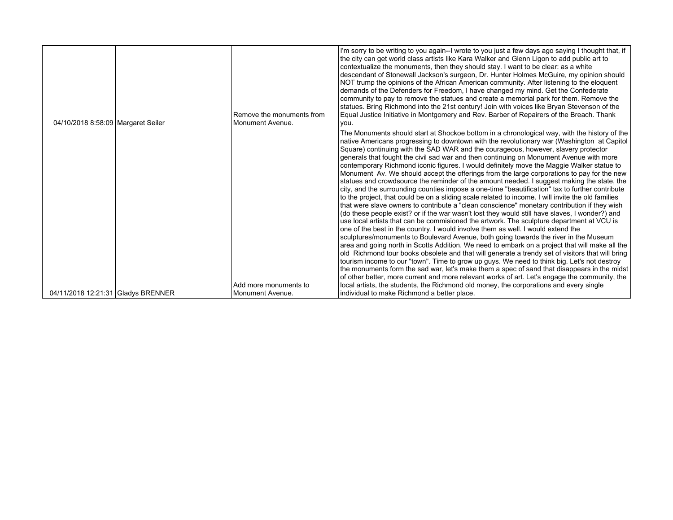| 04/10/2018 8:58:09 Margaret Seiler | Remove the monuments from<br>Monument Avenue. | I'm sorry to be writing to you again--I wrote to you just a few days ago saying I thought that, if<br>the city can get world class artists like Kara Walker and Glenn Ligon to add public art to<br>contextualize the monuments, then they should stay. I want to be clear: as a white<br>descendant of Stonewall Jackson's surgeon, Dr. Hunter Holmes McGuire, my opinion should<br>NOT trump the opinions of the African American community. After listening to the eloquent<br>demands of the Defenders for Freedom, I have changed my mind. Get the Confederate<br>community to pay to remove the statues and create a memorial park for them. Remove the<br>statues. Bring Richmond into the 21st century! Join with voices like Bryan Stevenson of the<br>Equal Justice Initiative in Montgomery and Rev. Barber of Repairers of the Breach. Thank<br>you. |
|------------------------------------|-----------------------------------------------|------------------------------------------------------------------------------------------------------------------------------------------------------------------------------------------------------------------------------------------------------------------------------------------------------------------------------------------------------------------------------------------------------------------------------------------------------------------------------------------------------------------------------------------------------------------------------------------------------------------------------------------------------------------------------------------------------------------------------------------------------------------------------------------------------------------------------------------------------------------|
|                                    |                                               | The Monuments should start at Shockoe bottom in a chronological way, with the history of the<br>  native Americans progressing to downtown with the revolutionary war (Washington at Capitol)                                                                                                                                                                                                                                                                                                                                                                                                                                                                                                                                                                                                                                                                    |
|                                    |                                               | Square) continuing with the SAD WAR and the courageous, however, slavery protector<br>generals that fought the civil sad war and then continuing on Monument Avenue with more                                                                                                                                                                                                                                                                                                                                                                                                                                                                                                                                                                                                                                                                                    |
|                                    |                                               | contemporary Richmond iconic figures. I would definitely move the Maggie Walker statue to<br>Monument Av. We should accept the offerings from the large corporations to pay for the new                                                                                                                                                                                                                                                                                                                                                                                                                                                                                                                                                                                                                                                                          |
|                                    |                                               | statues and crowdsource the reminder of the amount needed. I suggest making the state, the<br>city, and the surrounding counties impose a one-time "beautification" tax to further contribute                                                                                                                                                                                                                                                                                                                                                                                                                                                                                                                                                                                                                                                                    |
|                                    |                                               | to the project, that could be on a sliding scale related to income. I will invite the old families<br>that were slave owners to contribute a "clean conscience" monetary contribution if they wish                                                                                                                                                                                                                                                                                                                                                                                                                                                                                                                                                                                                                                                               |
|                                    |                                               | (do these people exist? or if the war wasn't lost they would still have slaves, I wonder?) and<br>use local artists that can be commisioned the artwork. The sculpture department at VCU is<br>one of the best in the country. I would involve them as well. I would extend the                                                                                                                                                                                                                                                                                                                                                                                                                                                                                                                                                                                  |
|                                    |                                               | sculptures/monuments to Boulevard Avenue, both going towards the river in the Museum<br>area and going north in Scotts Addition. We need to embark on a project that will make all the                                                                                                                                                                                                                                                                                                                                                                                                                                                                                                                                                                                                                                                                           |
|                                    |                                               | old Richmond tour books obsolete and that will generate a trendy set of visitors that will bring<br>tourism income to our "town". Time to grow up guys. We need to think big. Let's not destroy                                                                                                                                                                                                                                                                                                                                                                                                                                                                                                                                                                                                                                                                  |
|                                    |                                               | the monuments form the sad war, let's make them a spec of sand that disappears in the midst<br>of other better, more current and more relevant works of art. Let's engage the community, the                                                                                                                                                                                                                                                                                                                                                                                                                                                                                                                                                                                                                                                                     |
| 04/11/2018 12:21:31 Gladys BRENNER | Add more monuments to<br>Monument Avenue.     | local artists, the students, the Richmond old money, the corporations and every single<br>individual to make Richmond a better place.                                                                                                                                                                                                                                                                                                                                                                                                                                                                                                                                                                                                                                                                                                                            |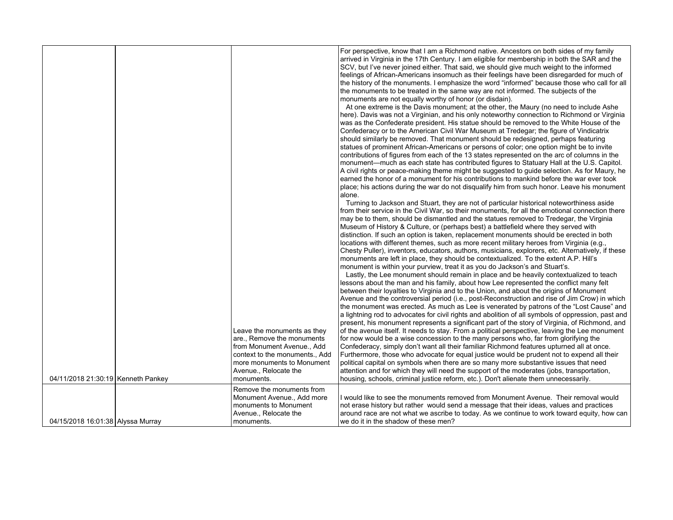|                                    | Leave the monuments as they<br>are., Remove the monuments<br>from Monument Avenue., Add<br>context to the monuments., Add<br>more monuments to Monument<br>Avenue., Relocate the | For perspective, know that I am a Richmond native. Ancestors on both sides of my family<br>arrived in Virginia in the 17th Century. I am eligible for membership in both the SAR and the<br>SCV, but I've never joined either. That said, we should give much weight to the informed<br>feelings of African-Americans insomuch as their feelings have been disregarded for much of<br>the history of the monuments. I emphasize the word "informed" because those who call for all<br>the monuments to be treated in the same way are not informed. The subjects of the<br>monuments are not equally worthy of honor (or disdain).<br>At one extreme is the Davis monument; at the other, the Maury (no need to include Ashe<br>here). Davis was not a Virginian, and his only noteworthy connection to Richmond or Virginia<br>was as the Confederate president. His statue should be removed to the White House of the<br>Confederacy or to the American Civil War Museum at Tredegar; the figure of Vindicatrix<br>should similarly be removed. That monument should be redesigned, perhaps featuring<br>statues of prominent African-Americans or persons of color; one option might be to invite<br>contributions of figures from each of the 13 states represented on the arc of columns in the<br>monument—much as each state has contributed figures to Statuary Hall at the U.S. Capitol.<br>A civil rights or peace-making theme might be suggested to guide selection. As for Maury, he<br>earned the honor of a monument for his contributions to mankind before the war ever took<br>place; his actions during the war do not disqualify him from such honor. Leave his monument<br>alone.<br>Turning to Jackson and Stuart, they are not of particular historical noteworthiness aside<br>from their service in the Civil War, so their monuments, for all the emotional connection there<br>may be to them, should be dismantled and the statues removed to Tredegar, the Virginia<br>Museum of History & Culture, or (perhaps best) a battlefield where they served with<br>distinction. If such an option is taken, replacement monuments should be erected in both<br>locations with different themes, such as more recent military heroes from Virginia (e.g.,<br>Chesty Puller), inventors, educators, authors, musicians, explorers, etc. Alternatively, if these<br>monuments are left in place, they should be contextualized. To the extent A.P. Hill's<br>monument is within your purview, treat it as you do Jackson's and Stuart's.<br>Lastly, the Lee monument should remain in place and be heavily contextualized to teach<br>lessons about the man and his family, about how Lee represented the conflict many felt<br>between their loyalties to Virginia and to the Union, and about the origins of Monument<br>Avenue and the controversial period (i.e., post-Reconstruction and rise of Jim Crow) in which<br>the monument was erected. As much as Lee is venerated by patrons of the "Lost Cause" and<br>a lightning rod to advocates for civil rights and abolition of all symbols of oppression, past and<br>present, his monument represents a significant part of the story of Virginia, of Richmond, and<br>of the avenue itself. It needs to stay. From a political perspective, leaving the Lee monument<br>for now would be a wise concession to the many persons who, far from glorifying the<br>Confederacy, simply don't want all their familiar Richmond features upturned all at once.<br>Furthermore, those who advocate for equal justice would be prudent not to expend all their<br>political capital on symbols when there are so many more substantive issues that need<br>attention and for which they will need the support of the moderates (jobs, transportation, |
|------------------------------------|----------------------------------------------------------------------------------------------------------------------------------------------------------------------------------|-------------------------------------------------------------------------------------------------------------------------------------------------------------------------------------------------------------------------------------------------------------------------------------------------------------------------------------------------------------------------------------------------------------------------------------------------------------------------------------------------------------------------------------------------------------------------------------------------------------------------------------------------------------------------------------------------------------------------------------------------------------------------------------------------------------------------------------------------------------------------------------------------------------------------------------------------------------------------------------------------------------------------------------------------------------------------------------------------------------------------------------------------------------------------------------------------------------------------------------------------------------------------------------------------------------------------------------------------------------------------------------------------------------------------------------------------------------------------------------------------------------------------------------------------------------------------------------------------------------------------------------------------------------------------------------------------------------------------------------------------------------------------------------------------------------------------------------------------------------------------------------------------------------------------------------------------------------------------------------------------------------------------------------------------------------------------------------------------------------------------------------------------------------------------------------------------------------------------------------------------------------------------------------------------------------------------------------------------------------------------------------------------------------------------------------------------------------------------------------------------------------------------------------------------------------------------------------------------------------------------------------------------------------------------------------------------------------------------------------------------------------------------------------------------------------------------------------------------------------------------------------------------------------------------------------------------------------------------------------------------------------------------------------------------------------------------------------------------------------------------------------------------------------------------------------------------------------------------------------------------------------------------------------------------------------------------------------------------------------------------------------------------------------------------------------------------------------------------------------------------------------------------------------------------------------------------------------------------------------------------------------------------------------------------------------------------------------------------------------------------------------------------------------------------------------------------------|
| 04/11/2018 21:30:19 Kenneth Pankey | monuments.                                                                                                                                                                       | housing, schools, criminal justice reform, etc.). Don't alienate them unnecessarily.                                                                                                                                                                                                                                                                                                                                                                                                                                                                                                                                                                                                                                                                                                                                                                                                                                                                                                                                                                                                                                                                                                                                                                                                                                                                                                                                                                                                                                                                                                                                                                                                                                                                                                                                                                                                                                                                                                                                                                                                                                                                                                                                                                                                                                                                                                                                                                                                                                                                                                                                                                                                                                                                                                                                                                                                                                                                                                                                                                                                                                                                                                                                                                                                                                                                                                                                                                                                                                                                                                                                                                                                                                                                                                                                          |
| 04/15/2018 16:01:38 Alyssa Murray  | Remove the monuments from<br>Monument Avenue., Add more<br>monuments to Monument<br>Avenue., Relocate the<br>monuments.                                                          | I would like to see the monuments removed from Monument Avenue. Their removal would<br>not erase history but rather would send a message that their ideas, values and practices<br>around race are not what we ascribe to today. As we continue to work toward equity, how can<br>we do it in the shadow of these men?                                                                                                                                                                                                                                                                                                                                                                                                                                                                                                                                                                                                                                                                                                                                                                                                                                                                                                                                                                                                                                                                                                                                                                                                                                                                                                                                                                                                                                                                                                                                                                                                                                                                                                                                                                                                                                                                                                                                                                                                                                                                                                                                                                                                                                                                                                                                                                                                                                                                                                                                                                                                                                                                                                                                                                                                                                                                                                                                                                                                                                                                                                                                                                                                                                                                                                                                                                                                                                                                                                        |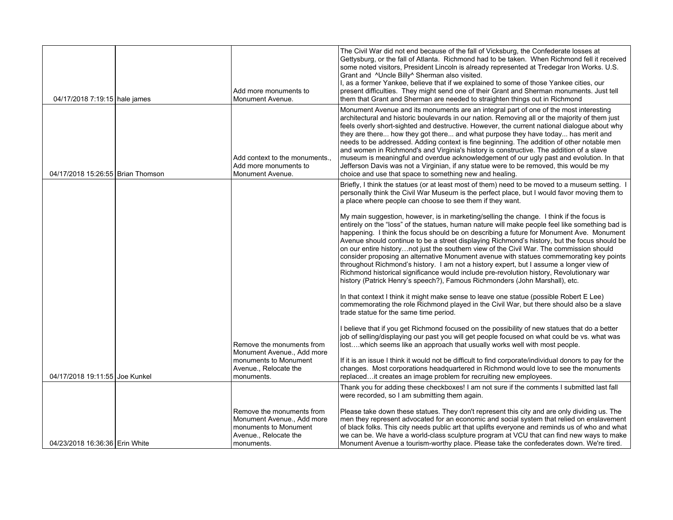| 04/17/2018 7:19:15 hale james     | Add more monuments to<br>Monument Avenue.                                                                               | The Civil War did not end because of the fall of Vicksburg, the Confederate losses at<br>Gettysburg, or the fall of Atlanta. Richmond had to be taken. When Richmond fell it received<br>some noted visitors, President Lincoln is already represented at Tredegar Iron Works. U.S.<br>Grant and ^Uncle Billy^ Sherman also visited.<br>I, as a former Yankee, believe that if we explained to some of those Yankee cities, our<br>present difficulties. They might send one of their Grant and Sherman monuments. Just tell<br>them that Grant and Sherman are needed to straighten things out in Richmond                                                                                                                                                                                                                                                                                                                              |
|-----------------------------------|-------------------------------------------------------------------------------------------------------------------------|------------------------------------------------------------------------------------------------------------------------------------------------------------------------------------------------------------------------------------------------------------------------------------------------------------------------------------------------------------------------------------------------------------------------------------------------------------------------------------------------------------------------------------------------------------------------------------------------------------------------------------------------------------------------------------------------------------------------------------------------------------------------------------------------------------------------------------------------------------------------------------------------------------------------------------------|
| 04/17/2018 15:26:55 Brian Thomson | Add context to the monuments.,<br>Add more monuments to<br>Monument Avenue.                                             | Monument Avenue and its monuments are an integral part of one of the most interesting<br>architectural and historic boulevards in our nation. Removing all or the majority of them just<br>feels overly short-sighted and destructive. However, the current national dialogue about why<br>they are there how they got there and what purpose they have today has merit and<br>needs to be addressed. Adding context is fine beginning. The addition of other notable men<br>and women in Richmond's and Virginia's history is constructive. The addition of a slave<br>museum is meaningful and overdue acknowledgement of our ugly past and evolution. In that<br>Jefferson Davis was not a Virginian, if any statue were to be removed, this would be my<br>choice and use that space to something new and healing.                                                                                                                   |
|                                   |                                                                                                                         | Briefly, I think the statues (or at least most of them) need to be moved to a museum setting. I<br>personally think the Civil War Museum is the perfect place, but I would favor moving them to<br>a place where people can choose to see them if they want.<br>My main suggestion, however, is in marketing/selling the change. I think if the focus is<br>entirely on the "loss" of the statues, human nature will make people feel like something bad is<br>happening. I think the focus should be on describing a future for Monument Ave. Monument<br>Avenue should continue to be a street displaying Richmond's history, but the focus should be<br>on our entire historynot just the southern view of the Civil War. The commission should<br>consider proposing an alternative Monument avenue with statues commemorating key points<br>throughout Richmond's history. I am not a history expert, but I assume a longer view of |
|                                   | Remove the monuments from                                                                                               | Richmond historical significance would include pre-revolution history, Revolutionary war<br>history (Patrick Henry's speech?), Famous Richmonders (John Marshall), etc.<br>In that context I think it might make sense to leave one statue (possible Robert E Lee)<br>commemorating the role Richmond played in the Civil War, but there should also be a slave<br>trade statue for the same time period.<br>I believe that if you get Richmond focused on the possibility of new statues that do a better<br>job of selling/displaying our past you will get people focused on what could be vs. what was<br>lost which seems like an approach that usually works well with most people.                                                                                                                                                                                                                                                |
| 04/17/2018 19:11:55 Joe Kunkel    | Monument Avenue., Add more<br>monuments to Monument<br>Avenue., Relocate the<br>monuments.                              | If it is an issue I think it would not be difficult to find corporate/individual donors to pay for the<br>changes. Most corporations headquartered in Richmond would love to see the monuments<br>replacedit creates an image problem for recruiting new employees.                                                                                                                                                                                                                                                                                                                                                                                                                                                                                                                                                                                                                                                                      |
|                                   |                                                                                                                         | Thank you for adding these checkboxes! I am not sure if the comments I submitted last fall<br>were recorded, so I am submitting them again.                                                                                                                                                                                                                                                                                                                                                                                                                                                                                                                                                                                                                                                                                                                                                                                              |
| 04/23/2018 16:36:36 Erin White    | Remove the monuments from<br>Monument Avenue., Add more<br>monuments to Monument<br>Avenue., Relocate the<br>monuments. | Please take down these statues. They don't represent this city and are only dividing us. The<br>men they represent advocated for an economic and social system that relied on enslavement<br>of black folks. This city needs public art that uplifts everyone and reminds us of who and what<br>we can be. We have a world-class sculpture program at VCU that can find new ways to make<br>Monument Avenue a tourism-worthy place. Please take the confederates down. We're tired.                                                                                                                                                                                                                                                                                                                                                                                                                                                      |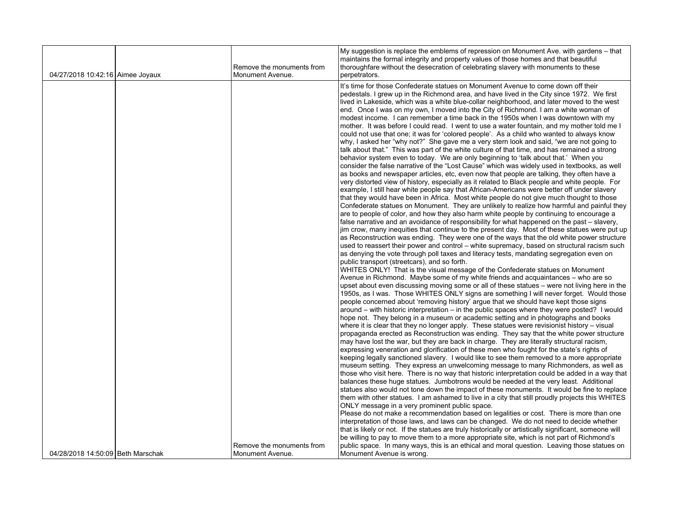|                                   | Remove the monuments from                     | My suggestion is replace the emblems of repression on Monument Ave. with gardens - that<br>maintains the formal integrity and property values of those homes and that beautiful<br>thoroughfare without the desecration of celebrating slavery with monuments to these                                                                                                                                                                                                                                                                                                                                                                                                                                                                                                                                                                                                                                                                                                                                                                                                                                                                                                                                                                                                                                                                                                                                                                                                                                                                                                                                                                                                                                                                                                                                                                                                                                                                                                                                                                                                                                                                                                                                                                                                                                                                                                                                                                                                                                                                                                                                                                                                                                                                                                                                                                                                                                                                                                                                                                                                                                                                                                                                                                                                                                                                                                                                                                                                                                                                                                                                          |
|-----------------------------------|-----------------------------------------------|-----------------------------------------------------------------------------------------------------------------------------------------------------------------------------------------------------------------------------------------------------------------------------------------------------------------------------------------------------------------------------------------------------------------------------------------------------------------------------------------------------------------------------------------------------------------------------------------------------------------------------------------------------------------------------------------------------------------------------------------------------------------------------------------------------------------------------------------------------------------------------------------------------------------------------------------------------------------------------------------------------------------------------------------------------------------------------------------------------------------------------------------------------------------------------------------------------------------------------------------------------------------------------------------------------------------------------------------------------------------------------------------------------------------------------------------------------------------------------------------------------------------------------------------------------------------------------------------------------------------------------------------------------------------------------------------------------------------------------------------------------------------------------------------------------------------------------------------------------------------------------------------------------------------------------------------------------------------------------------------------------------------------------------------------------------------------------------------------------------------------------------------------------------------------------------------------------------------------------------------------------------------------------------------------------------------------------------------------------------------------------------------------------------------------------------------------------------------------------------------------------------------------------------------------------------------------------------------------------------------------------------------------------------------------------------------------------------------------------------------------------------------------------------------------------------------------------------------------------------------------------------------------------------------------------------------------------------------------------------------------------------------------------------------------------------------------------------------------------------------------------------------------------------------------------------------------------------------------------------------------------------------------------------------------------------------------------------------------------------------------------------------------------------------------------------------------------------------------------------------------------------------------------------------------------------------------------------------------------------------|
|                                   |                                               |                                                                                                                                                                                                                                                                                                                                                                                                                                                                                                                                                                                                                                                                                                                                                                                                                                                                                                                                                                                                                                                                                                                                                                                                                                                                                                                                                                                                                                                                                                                                                                                                                                                                                                                                                                                                                                                                                                                                                                                                                                                                                                                                                                                                                                                                                                                                                                                                                                                                                                                                                                                                                                                                                                                                                                                                                                                                                                                                                                                                                                                                                                                                                                                                                                                                                                                                                                                                                                                                                                                                                                                                                 |
| 04/27/2018 10:42:16 Aimee Joyaux  | Monument Avenue.                              | perpetrators.<br>It's time for those Confederate statues on Monument Avenue to come down off their<br>pedestals. I grew up in the Richmond area, and have lived in the City since 1972. We first<br>lived in Lakeside, which was a white blue-collar neighborhood, and later moved to the west<br>end. Once I was on my own, I moved into the City of Richmond. I am a white woman of<br>modest income. I can remember a time back in the 1950s when I was downtown with my<br>mother. It was before I could read. I went to use a water fountain, and my mother told me I<br>could not use that one; it was for 'colored people'. As a child who wanted to always know<br>why, I asked her "why not?" She gave me a very stern look and said, "we are not going to<br>talk about that." This was part of the white culture of that time, and has remained a strong<br>behavior system even to today. We are only beginning to 'talk about that.' When you<br>consider the false narrative of the "Lost Cause" which was widely used in textbooks, as well<br>as books and newspaper articles, etc, even now that people are talking, they often have a<br>very distorted view of history, especially as it related to Black people and white people. For<br>example, I still hear white people say that African-Americans were better off under slavery<br>that they would have been in Africa. Most white people do not give much thought to those<br>Confederate statues on Monument. They are unlikely to realize how harmful and painful they<br>are to people of color, and how they also harm white people by continuing to encourage a<br>false narrative and an avoidance of responsibility for what happened on the past – slavery,<br>jim crow, many inequities that continue to the present day. Most of these statues were put up<br>as Reconstruction was ending. They were one of the ways that the old white power structure<br>used to reassert their power and control - white supremacy, based on structural racism such<br>as denying the vote through poll taxes and literacy tests, mandating segregation even on<br>public transport (streetcars), and so forth.<br>WHITES ONLY! That is the visual message of the Confederate statues on Monument<br>Avenue in Richmond. Maybe some of my white friends and acquaintances – who are so<br>upset about even discussing moving some or all of these statues - were not living here in the<br>1950s, as I was. Those WHITES ONLY signs are something I will never forget. Would those<br>people concerned about 'removing history' argue that we should have kept those signs<br>around – with historic interpretation – in the public spaces where they were posted? I would<br>hope not. They belong in a museum or academic setting and in photographs and books<br>where it is clear that they no longer apply. These statues were revisionist history - visual<br>propaganda erected as Reconstruction was ending. They say that the white power structure<br>may have lost the war, but they are back in charge. They are literally structural racism,<br>expressing veneration and glorification of these men who fought for the state's rights of<br>keeping legally sanctioned slavery. I would like to see them removed to a more appropriate<br>museum setting. They express an unwelcoming message to many Richmonders, as well as<br>those who visit here. There is no way that historic interpretation could be added in a way that<br>balances these huge statues. Jumbotrons would be needed at the very least. Additional |
|                                   |                                               | statues also would not tone down the impact of these monuments. It would be fine to replace<br>them with other statues. I am ashamed to live in a city that still proudly projects this WHITES                                                                                                                                                                                                                                                                                                                                                                                                                                                                                                                                                                                                                                                                                                                                                                                                                                                                                                                                                                                                                                                                                                                                                                                                                                                                                                                                                                                                                                                                                                                                                                                                                                                                                                                                                                                                                                                                                                                                                                                                                                                                                                                                                                                                                                                                                                                                                                                                                                                                                                                                                                                                                                                                                                                                                                                                                                                                                                                                                                                                                                                                                                                                                                                                                                                                                                                                                                                                                  |
|                                   |                                               | ONLY message in a very prominent public space.<br>Please do not make a recommendation based on legalities or cost. There is more than one                                                                                                                                                                                                                                                                                                                                                                                                                                                                                                                                                                                                                                                                                                                                                                                                                                                                                                                                                                                                                                                                                                                                                                                                                                                                                                                                                                                                                                                                                                                                                                                                                                                                                                                                                                                                                                                                                                                                                                                                                                                                                                                                                                                                                                                                                                                                                                                                                                                                                                                                                                                                                                                                                                                                                                                                                                                                                                                                                                                                                                                                                                                                                                                                                                                                                                                                                                                                                                                                       |
|                                   |                                               | interpretation of those laws, and laws can be changed. We do not need to decide whether                                                                                                                                                                                                                                                                                                                                                                                                                                                                                                                                                                                                                                                                                                                                                                                                                                                                                                                                                                                                                                                                                                                                                                                                                                                                                                                                                                                                                                                                                                                                                                                                                                                                                                                                                                                                                                                                                                                                                                                                                                                                                                                                                                                                                                                                                                                                                                                                                                                                                                                                                                                                                                                                                                                                                                                                                                                                                                                                                                                                                                                                                                                                                                                                                                                                                                                                                                                                                                                                                                                         |
|                                   |                                               | that is likely or not. If the statues are truly historically or artistically significant, someone will                                                                                                                                                                                                                                                                                                                                                                                                                                                                                                                                                                                                                                                                                                                                                                                                                                                                                                                                                                                                                                                                                                                                                                                                                                                                                                                                                                                                                                                                                                                                                                                                                                                                                                                                                                                                                                                                                                                                                                                                                                                                                                                                                                                                                                                                                                                                                                                                                                                                                                                                                                                                                                                                                                                                                                                                                                                                                                                                                                                                                                                                                                                                                                                                                                                                                                                                                                                                                                                                                                          |
|                                   |                                               | be willing to pay to move them to a more appropriate site, which is not part of Richmond's                                                                                                                                                                                                                                                                                                                                                                                                                                                                                                                                                                                                                                                                                                                                                                                                                                                                                                                                                                                                                                                                                                                                                                                                                                                                                                                                                                                                                                                                                                                                                                                                                                                                                                                                                                                                                                                                                                                                                                                                                                                                                                                                                                                                                                                                                                                                                                                                                                                                                                                                                                                                                                                                                                                                                                                                                                                                                                                                                                                                                                                                                                                                                                                                                                                                                                                                                                                                                                                                                                                      |
| 04/28/2018 14:50:09 Beth Marschak | Remove the monuments from<br>Monument Avenue. | public space. In many ways, this is an ethical and moral question. Leaving those statues on<br>Monument Avenue is wrong.                                                                                                                                                                                                                                                                                                                                                                                                                                                                                                                                                                                                                                                                                                                                                                                                                                                                                                                                                                                                                                                                                                                                                                                                                                                                                                                                                                                                                                                                                                                                                                                                                                                                                                                                                                                                                                                                                                                                                                                                                                                                                                                                                                                                                                                                                                                                                                                                                                                                                                                                                                                                                                                                                                                                                                                                                                                                                                                                                                                                                                                                                                                                                                                                                                                                                                                                                                                                                                                                                        |